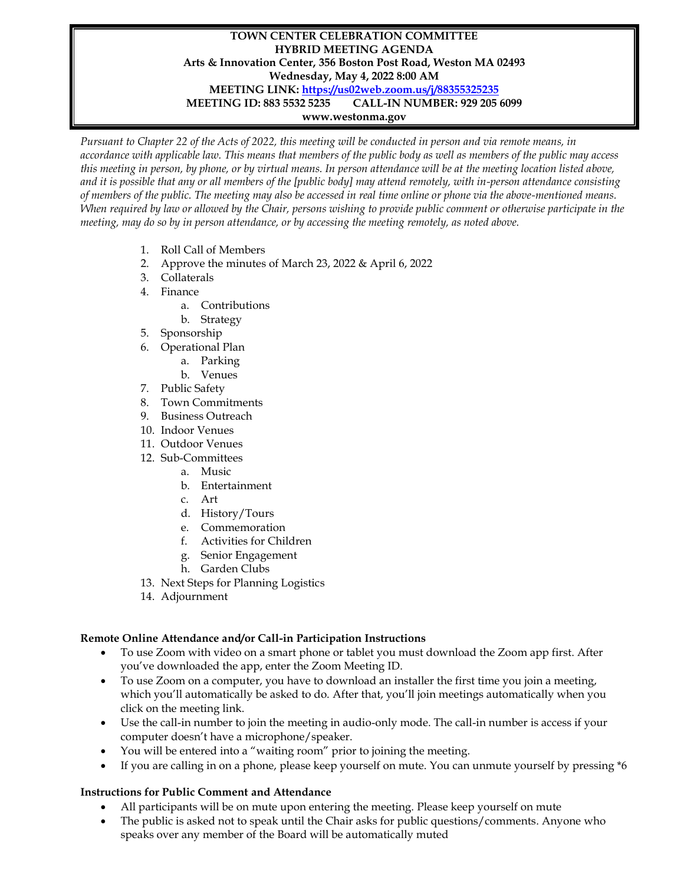## **TOWN CENTER CELEBRATION COMMITTEE HYBRID MEETING AGENDA Arts & Innovation Center, 356 Boston Post Road, Weston MA 02493 Wednesday, May 4, 2022 8:00 AM MEETING LINK:<https://us02web.zoom.us/j/88355325235> MEETING ID: 883 5532 5235 CALL-IN NUMBER: 929 205 6099 www.westonma.gov**

*Pursuant to Chapter 22 of the Acts of 2022, this meeting will be conducted in person and via remote means, in accordance with applicable law. This means that members of the public body as well as members of the public may access this meeting in person, by phone, or by virtual means. In person attendance will be at the meeting location listed above, and it is possible that any or all members of the [public body] may attend remotely, with in-person attendance consisting of members of the public. The meeting may also be accessed in real time online or phone via the above-mentioned means. When required by law or allowed by the Chair, persons wishing to provide public comment or otherwise participate in the meeting, may do so by in person attendance, or by accessing the meeting remotely, as noted above.*

- 1. Roll Call of Members
- 2. Approve the minutes of March 23, 2022 & April 6, 2022
- 3. Collaterals
- 4. Finance
	- a. Contributions
	- b. Strategy
- 5. Sponsorship
- 6. Operational Plan
	- a. Parking
	- b. Venues
- 7. Public Safety
- 8. Town Commitments
- 9. Business Outreach
- 10. Indoor Venues
- 11. Outdoor Venues
- 12. Sub-Committees
	- a. Music
		- b. Entertainment
		- c. Art
		- d. History/Tours
		- e. Commemoration
		- f. Activities for Children
		- g. Senior Engagement
		- h. Garden Clubs
- 13. Next Steps for Planning Logistics
- 14. Adjournment

## **Remote Online Attendance and/or Call-in Participation Instructions**

- To use Zoom with video on a smart phone or tablet you must download the Zoom app first. After you've downloaded the app, enter the Zoom Meeting ID.
- To use Zoom on a computer, you have to download an installer the first time you join a meeting, which you'll automatically be asked to do. After that, you'll join meetings automatically when you click on the meeting link.
- Use the call-in number to join the meeting in audio-only mode. The call-in number is access if your computer doesn't have a microphone/speaker.
- You will be entered into a "waiting room" prior to joining the meeting.
- If you are calling in on a phone, please keep yourself on mute. You can unmute yourself by pressing \*6

## **Instructions for Public Comment and Attendance**

- All participants will be on mute upon entering the meeting. Please keep yourself on mute
- The public is asked not to speak until the Chair asks for public questions/comments. Anyone who speaks over any member of the Board will be automatically muted